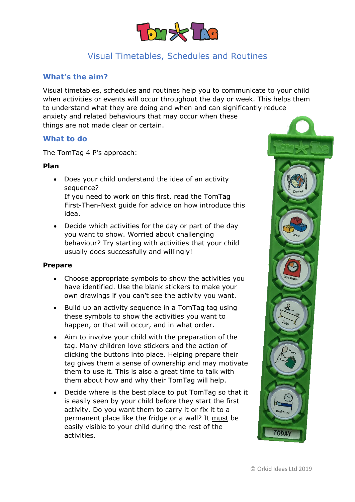

# Visual Timetables, Schedules and Routines

## **What's the aim?**

Visual timetables, schedules and routines help you to communicate to your child when activities or events will occur throughout the day or week. This helps them to understand what they are doing and when and can significantly reduce anxiety and related behaviours that may occur when these things are not made clear or certain.

#### **What to do**

The TomTag 4 P's approach:

#### **Plan**

- Does your child understand the idea of an activity sequence? If you need to work on this first, read the TomTag First-Then-Next guide for advice on how introduce this idea.
- Decide which activities for the day or part of the day you want to show. Worried about challenging behaviour? Try starting with activities that your child usually does successfully and willingly!

#### **Prepare**

- Choose appropriate symbols to show the activities you have identified. Use the blank stickers to make your own drawings if you can't see the activity you want.
- Build up an activity sequence in a TomTag tag using these symbols to show the activities you want to happen, or that will occur, and in what order.
- Aim to involve your child with the preparation of the tag. Many children love stickers and the action of clicking the buttons into place. Helping prepare their tag gives them a sense of ownership and may motivate them to use it. This is also a great time to talk with them about how and why their TomTag will help.
- Decide where is the best place to put TomTag so that it is easily seen by your child before they start the first activity. Do you want them to carry it or fix it to a permanent place like the fridge or a wall? It must be easily visible to your child during the rest of the activities.